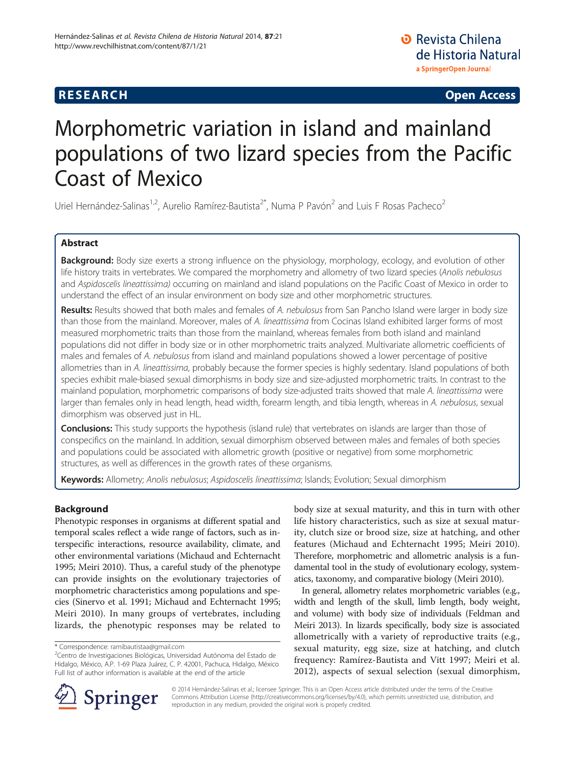# **RESEARCH CHINESE ARCH CHINESE ARCH CHINESE ARCH <b>CHINESE ARCH**

# Morphometric variation in island and mainland populations of two lizard species from the Pacific Coast of Mexico

Uriel Hernández-Salinas<sup>1,2</sup>, Aurelio Ramírez-Bautista<sup>2\*</sup>, Numa P Pavón<sup>2</sup> and Luis F Rosas Pacheco<sup>2</sup>

# Abstract

Background: Body size exerts a strong influence on the physiology, morphology, ecology, and evolution of other life history traits in vertebrates. We compared the morphometry and allometry of two lizard species (Anolis nebulosus and Aspidoscelis lineattissima) occurring on mainland and island populations on the Pacific Coast of Mexico in order to understand the effect of an insular environment on body size and other morphometric structures.

Results: Results showed that both males and females of A. nebulosus from San Pancho Island were larger in body size than those from the mainland. Moreover, males of A. lineattissima from Cocinas Island exhibited larger forms of most measured morphometric traits than those from the mainland, whereas females from both island and mainland populations did not differ in body size or in other morphometric traits analyzed. Multivariate allometric coefficients of males and females of A. nebulosus from island and mainland populations showed a lower percentage of positive allometries than in A. lineattissima, probably because the former species is highly sedentary. Island populations of both species exhibit male-biased sexual dimorphisms in body size and size-adjusted morphometric traits. In contrast to the mainland population, morphometric comparisons of body size-adjusted traits showed that male A. lineattissima were larger than females only in head length, head width, forearm length, and tibia length, whereas in A. nebulosus, sexual dimorphism was observed just in HL.

**Conclusions:** This study supports the hypothesis (island rule) that vertebrates on islands are larger than those of conspecifics on the mainland. In addition, sexual dimorphism observed between males and females of both species and populations could be associated with allometric growth (positive or negative) from some morphometric structures, as well as differences in the growth rates of these organisms.

Keywords: Allometry; Anolis nebulosus; Aspidoscelis lineattissima; Islands; Evolution; Sexual dimorphism

# Background

Phenotypic responses in organisms at different spatial and temporal scales reflect a wide range of factors, such as interspecific interactions, resource availability, climate, and other environmental variations (Michaud and Echternacht [1995;](#page-8-0) Meiri [2010](#page-8-0)). Thus, a careful study of the phenotype can provide insights on the evolutionary trajectories of morphometric characteristics among populations and species (Sinervo et al. [1991](#page-8-0); Michaud and Echternacht [1995](#page-8-0); Meiri [2010\)](#page-8-0). In many groups of vertebrates, including lizards, the phenotypic responses may be related to

body size at sexual maturity, and this in turn with other life history characteristics, such as size at sexual maturity, clutch size or brood size, size at hatching, and other features (Michaud and Echternacht [1995;](#page-8-0) Meiri [2010](#page-8-0)). Therefore, morphometric and allometric analysis is a fundamental tool in the study of evolutionary ecology, systematics, taxonomy, and comparative biology (Meiri [2010\)](#page-8-0).

In general, allometry relates morphometric variables (e.g., width and length of the skull, limb length, body weight, and volume) with body size of individuals (Feldman and Meiri [2013](#page-8-0)). In lizards specifically, body size is associated allometrically with a variety of reproductive traits (e.g., sexual maturity, egg size, size at hatching, and clutch frequency: Ramírez-Bautista and Vitt [1997](#page-8-0); Meiri et al. [2012\)](#page-8-0), aspects of sexual selection (sexual dimorphism,



© 2014 Hernández-Salinas et al.; licensee Springer. This is an Open Access article distributed under the terms of the Creative Commons Attribution License (<http://creativecommons.org/licenses/by/4.0>), which permits unrestricted use, distribution, and reproduction in any medium, provided the original work is properly credited.

<sup>\*</sup> Correspondence: [ramibautistaa@gmail.com](mailto:ramibautistaa@gmail.com) <sup>2</sup>

<sup>&</sup>lt;sup>2</sup> Centro de Investigaciones Biológicas, Universidad Autónoma del Estado de Hidalgo, México, A.P. 1-69 Plaza Juárez, C. P. 42001, Pachuca, Hidalgo, México Full list of author information is available at the end of the article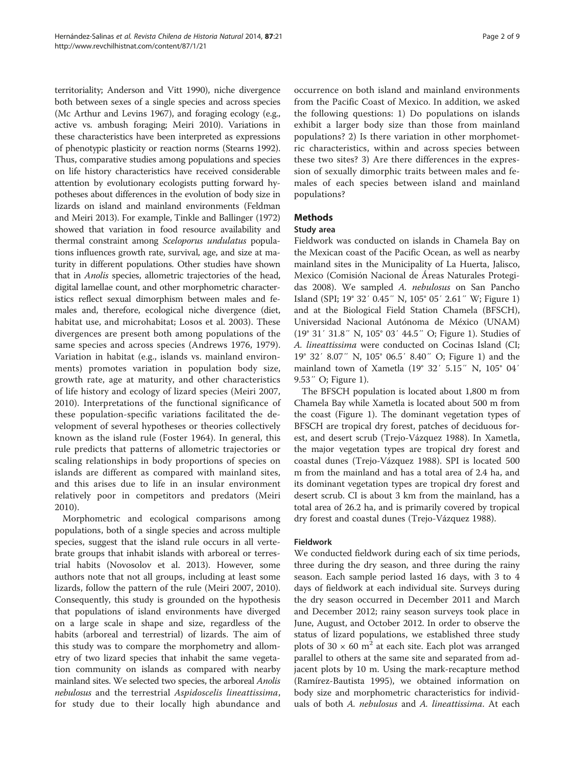territoriality; Anderson and Vitt [1990](#page-8-0)), niche divergence both between sexes of a single species and across species (Mc Arthur and Levins [1967](#page-8-0)), and foraging ecology (e.g., active vs. ambush foraging; Meiri [2010\)](#page-8-0). Variations in these characteristics have been interpreted as expressions of phenotypic plasticity or reaction norms (Stearns [1992](#page-8-0)). Thus, comparative studies among populations and species on life history characteristics have received considerable attention by evolutionary ecologists putting forward hypotheses about differences in the evolution of body size in lizards on island and mainland environments (Feldman and Meiri [2013](#page-8-0)). For example, Tinkle and Ballinger [\(1972](#page-8-0)) showed that variation in food resource availability and thermal constraint among Sceloporus undulatus populations influences growth rate, survival, age, and size at maturity in different populations. Other studies have shown that in Anolis species, allometric trajectories of the head, digital lamellae count, and other morphometric characteristics reflect sexual dimorphism between males and females and, therefore, ecological niche divergence (diet, habitat use, and microhabitat; Losos et al. [2003\)](#page-8-0). These divergences are present both among populations of the same species and across species (Andrews [1976](#page-8-0), [1979](#page-8-0)). Variation in habitat (e.g., islands vs. mainland environments) promotes variation in population body size, growth rate, age at maturity, and other characteristics of life history and ecology of lizard species (Meiri [2007](#page-8-0), [2010\)](#page-8-0). Interpretations of the functional significance of these population-specific variations facilitated the development of several hypotheses or theories collectively known as the island rule (Foster [1964\)](#page-8-0). In general, this rule predicts that patterns of allometric trajectories or scaling relationships in body proportions of species on islands are different as compared with mainland sites, and this arises due to life in an insular environment relatively poor in competitors and predators (Meiri [2010\)](#page-8-0).

Morphometric and ecological comparisons among populations, both of a single species and across multiple species, suggest that the island rule occurs in all vertebrate groups that inhabit islands with arboreal or terrestrial habits (Novosolov et al. [2013\)](#page-8-0). However, some authors note that not all groups, including at least some lizards, follow the pattern of the rule (Meiri [2007](#page-8-0), [2010](#page-8-0)). Consequently, this study is grounded on the hypothesis that populations of island environments have diverged on a large scale in shape and size, regardless of the habits (arboreal and terrestrial) of lizards. The aim of this study was to compare the morphometry and allometry of two lizard species that inhabit the same vegetation community on islands as compared with nearby mainland sites. We selected two species, the arboreal *Anolis* nebulosus and the terrestrial Aspidoscelis lineattissima, for study due to their locally high abundance and occurrence on both island and mainland environments from the Pacific Coast of Mexico. In addition, we asked the following questions: 1) Do populations on islands exhibit a larger body size than those from mainland populations? 2) Is there variation in other morphometric characteristics, within and across species between these two sites? 3) Are there differences in the expression of sexually dimorphic traits between males and females of each species between island and mainland populations?

# Methods

# Study area

Fieldwork was conducted on islands in Chamela Bay on the Mexican coast of the Pacific Ocean, as well as nearby mainland sites in the Municipality of La Huerta, Jalisco, Mexico (Comisión Nacional de Áreas Naturales Protegidas [2008](#page-8-0)). We sampled A. nebulosus on San Pancho Island (SPI; 19° 32′ 0.45″ N, 105° 05′ 2.61″ W; Figure [1](#page-2-0)) and at the Biological Field Station Chamela (BFSCH), Universidad Nacional Autónoma de México (UNAM) (19° 31′ 31.8″ N, 105° 03′ 44.5″ O; Figure [1](#page-2-0)). Studies of A. lineattissima were conducted on Cocinas Island (CI; 19° 32′ 8.07″ N, 105° 06.5′ 8.40″ O; Figure [1\)](#page-2-0) and the mainland town of Xametla (19° 32′ 5.15″ N, 105° 04′ 9.53″ O; Figure [1\)](#page-2-0).

The BFSCH population is located about 1,800 m from Chamela Bay while Xametla is located about 500 m from the coast (Figure [1](#page-2-0)). The dominant vegetation types of BFSCH are tropical dry forest, patches of deciduous forest, and desert scrub (Trejo-Vázquez [1988](#page-8-0)). In Xametla, the major vegetation types are tropical dry forest and coastal dunes (Trejo-Vázquez [1988](#page-8-0)). SPI is located 500 m from the mainland and has a total area of 2.4 ha, and its dominant vegetation types are tropical dry forest and desert scrub. CI is about 3 km from the mainland, has a total area of 26.2 ha, and is primarily covered by tropical dry forest and coastal dunes (Trejo-Vázquez [1988\)](#page-8-0).

# Fieldwork

We conducted fieldwork during each of six time periods, three during the dry season, and three during the rainy season. Each sample period lasted 16 days, with 3 to 4 days of fieldwork at each individual site. Surveys during the dry season occurred in December 2011 and March and December 2012; rainy season surveys took place in June, August, and October 2012. In order to observe the status of lizard populations, we established three study plots of 30  $\times$  60 m<sup>2</sup> at each site. Each plot was arranged parallel to others at the same site and separated from adjacent plots by 10 m. Using the mark-recapture method (Ramírez-Bautista [1995](#page-8-0)), we obtained information on body size and morphometric characteristics for individuals of both A. nebulosus and A. lineattissima. At each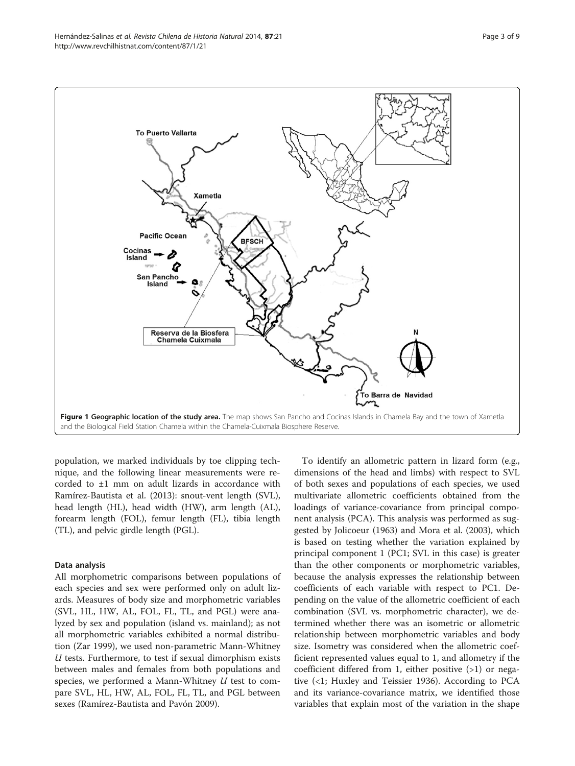<span id="page-2-0"></span>

population, we marked individuals by toe clipping technique, and the following linear measurements were recorded to ±1 mm on adult lizards in accordance with Ramírez-Bautista et al. ([2013](#page-8-0)): snout-vent length (SVL), head length (HL), head width (HW), arm length (AL), forearm length (FOL), femur length (FL), tibia length (TL), and pelvic girdle length (PGL).

# Data analysis

All morphometric comparisons between populations of each species and sex were performed only on adult lizards. Measures of body size and morphometric variables (SVL, HL, HW, AL, FOL, FL, TL, and PGL) were analyzed by sex and population (island vs. mainland); as not all morphometric variables exhibited a normal distribution (Zar [1999](#page-8-0)), we used non-parametric Mann-Whitney  $U$  tests. Furthermore, to test if sexual dimorphism exists between males and females from both populations and species, we performed a Mann-Whitney U test to compare SVL, HL, HW, AL, FOL, FL, TL, and PGL between sexes (Ramírez-Bautista and Pavón [2009](#page-8-0)).

To identify an allometric pattern in lizard form (e.g., dimensions of the head and limbs) with respect to SVL of both sexes and populations of each species, we used multivariate allometric coefficients obtained from the loadings of variance-covariance from principal component analysis (PCA). This analysis was performed as suggested by Jolicoeur [\(1963\)](#page-8-0) and Mora et al. ([2003](#page-8-0)), which is based on testing whether the variation explained by principal component 1 (PC1; SVL in this case) is greater than the other components or morphometric variables, because the analysis expresses the relationship between coefficients of each variable with respect to PC1. Depending on the value of the allometric coefficient of each combination (SVL vs. morphometric character), we determined whether there was an isometric or allometric relationship between morphometric variables and body size. Isometry was considered when the allometric coefficient represented values equal to 1, and allometry if the coefficient differed from 1, either positive (>1) or negative (<1; Huxley and Teissier [1936\)](#page-8-0). According to PCA and its variance-covariance matrix, we identified those variables that explain most of the variation in the shape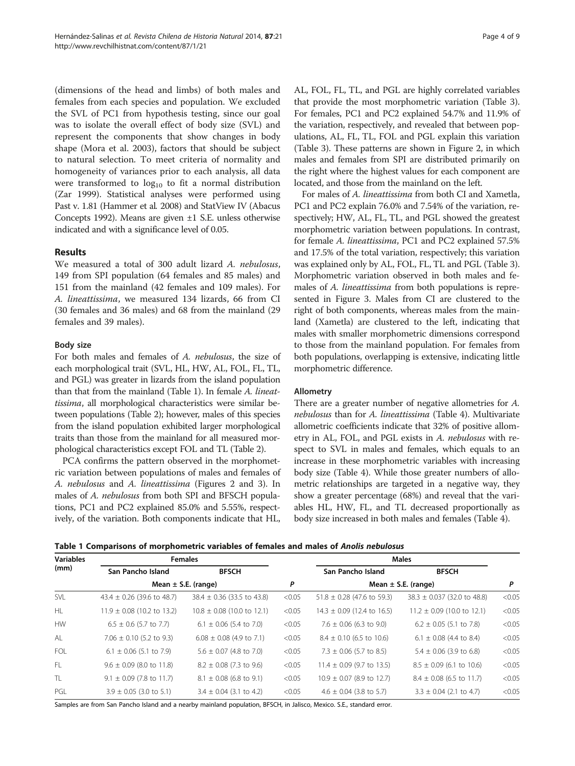(dimensions of the head and limbs) of both males and females from each species and population. We excluded the SVL of PC1 from hypothesis testing, since our goal was to isolate the overall effect of body size (SVL) and represent the components that show changes in body shape (Mora et al. [2003\)](#page-8-0), factors that should be subject to natural selection. To meet criteria of normality and homogeneity of variances prior to each analysis, all data were transformed to  $log_{10}$  to fit a normal distribution (Zar [1999\)](#page-8-0). Statistical analyses were performed using Past v. 1.81 (Hammer et al. [2008](#page-8-0)) and StatView IV (Abacus Concepts [1992](#page-8-0)). Means are given ±1 S.E. unless otherwise indicated and with a significance level of 0.05.

### Results

We measured a total of 300 adult lizard A. nebulosus, 149 from SPI population (64 females and 85 males) and 151 from the mainland (42 females and 109 males). For A. lineattissima, we measured 134 lizards, 66 from CI (30 females and 36 males) and 68 from the mainland (29 females and 39 males).

# Body size

For both males and females of A. nebulosus, the size of each morphological trait (SVL, HL, HW, AL, FOL, FL, TL, and PGL) was greater in lizards from the island population than that from the mainland (Table 1). In female A. lineattissima, all morphological characteristics were similar between populations (Table [2](#page-4-0)); however, males of this species from the island population exhibited larger morphological traits than those from the mainland for all measured morphological characteristics except FOL and TL (Table [2](#page-4-0)).

PCA confirms the pattern observed in the morphometric variation between populations of males and females of A. nebulosus and A. lineattissima (Figures [2](#page-4-0) and [3](#page-5-0)). In males of A. nebulosus from both SPI and BFSCH populations, PC1 and PC2 explained 85.0% and 5.55%, respectively, of the variation. Both components indicate that HL, AL, FOL, FL, TL, and PGL are highly correlated variables that provide the most morphometric variation (Table [3](#page-5-0)). For females, PC1 and PC2 explained 54.7% and 11.9% of the variation, respectively, and revealed that between populations, AL, FL, TL, FOL and PGL explain this variation (Table [3\)](#page-5-0). These patterns are shown in Figure [2](#page-4-0), in which males and females from SPI are distributed primarily on the right where the highest values for each component are located, and those from the mainland on the left.

For males of A. lineattissima from both CI and Xametla, PC1 and PC2 explain 76.0% and 7.54% of the variation, respectively; HW, AL, FL, TL, and PGL showed the greatest morphometric variation between populations. In contrast, for female A. lineattissima, PC1 and PC2 explained 57.5% and 17.5% of the total variation, respectively; this variation was explained only by AL, FOL, FL, TL and PGL (Table [3](#page-5-0)). Morphometric variation observed in both males and females of A. lineattissima from both populations is represented in Figure [3](#page-5-0). Males from CI are clustered to the right of both components, whereas males from the mainland (Xametla) are clustered to the left, indicating that males with smaller morphometric dimensions correspond to those from the mainland population. For females from both populations, overlapping is extensive, indicating little morphometric difference.

# Allometry

There are a greater number of negative allometries for A. nebulosus than for A. lineattissima (Table [4](#page-6-0)). Multivariate allometric coefficients indicate that 32% of positive allometry in AL, FOL, and PGL exists in A. nebulosus with respect to SVL in males and females, which equals to an increase in these morphometric variables with increasing body size (Table [4\)](#page-6-0). While those greater numbers of allometric relationships are targeted in a negative way, they show a greater percentage (68%) and reveal that the variables HL, HW, FL, and TL decreased proportionally as body size increased in both males and females (Table [4](#page-6-0)).

Table 1 Comparisons of morphometric variables of females and males of Anolis nebulosus

| <b>Variables</b> | <b>Females</b>                 |                                |        | <b>Males</b>                   |                                 |        |
|------------------|--------------------------------|--------------------------------|--------|--------------------------------|---------------------------------|--------|
| (mm)             | San Pancho Island              | <b>BFSCH</b>                   |        | San Pancho Island              | <b>BFSCH</b>                    |        |
|                  | Mean $\pm$ S.E. (range)        |                                | P      | Mean $\pm$ S.E. (range)        |                                 |        |
| <b>SVL</b>       | $43.4 \pm 0.26$ (39.6 to 48.7) | $38.4 \pm 0.36$ (33.5 to 43.8) | < 0.05 | $51.8 \pm 0.28$ (47.6 to 59.3) | $38.3 \pm 0.037$ (32.0 to 48.8) | < 0.05 |
| HL               | $11.9 \pm 0.08$ (10.2 to 13.2) | $10.8 \pm 0.08$ (10.0 to 12.1) | < 0.05 | $14.3 \pm 0.09$ (12.4 to 16.5) | $11.2 \pm 0.09$ (10.0 to 12.1)  | < 0.05 |
| <b>HW</b>        | $6.5 \pm 0.6$ (5.7 to 7.7)     | $6.1 \pm 0.06$ (5.4 to 7.0)    | < 0.05 | $7.6 \pm 0.06$ (6.3 to 9.0)    | $6.2 \pm 0.05$ (5.1 to 7.8)     | < 0.05 |
| AL               | 7.06 $\pm$ 0.10 (5.2 to 9.3)   | $6.08 \pm 0.08$ (4.9 to 7.1)   | < 0.05 | $8.4 \pm 0.10$ (6.5 to 10.6)   | $6.1 \pm 0.08$ (4.4 to 8.4)     | < 0.05 |
| <b>FOL</b>       | $6.1 \pm 0.06$ (5.1 to 7.9)    | $5.6 \pm 0.07$ (4.8 to 7.0)    | < 0.05 | $7.3 \pm 0.06$ (5.7 to 8.5)    | $5.4 \pm 0.06$ (3.9 to 6.8)     | < 0.05 |
| <b>FL</b>        | $9.6 \pm 0.09$ (8.0 to 11.8)   | $8.2 \pm 0.08$ (7.3 to 9.6)    | < 0.05 | $11.4 \pm 0.09$ (9.7 to 13.5)  | $8.5 \pm 0.09$ (6.1 to 10.6)    | < 0.05 |
| TL               | $9.1 \pm 0.09$ (7.8 to 11.7)   | $8.1 \pm 0.08$ (6.8 to 9.1)    | < 0.05 | $10.9 \pm 0.07$ (8.9 to 12.7)  | $8.4 \pm 0.08$ (6.5 to 11.7)    | < 0.05 |
| PGL              | $3.9 \pm 0.05$ (3.0 to 5.1)    | $3.4 \pm 0.04$ (3.1 to 4.2)    | < 0.05 | $4.6 \pm 0.04$ (3.8 to 5.7)    | $3.3 \pm 0.04$ (2.1 to 4.7)     | < 0.05 |

Samples are from San Pancho Island and a nearby mainland population, BFSCH, in Jalisco, Mexico. S.E., standard error.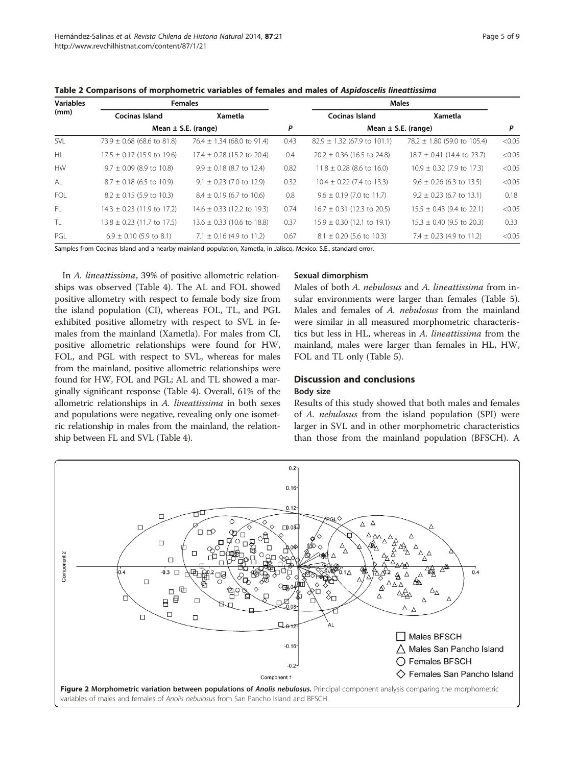| <b>Variables</b> | <b>Females</b>                 |                                |      |                                 | <b>Males</b>                    |        |
|------------------|--------------------------------|--------------------------------|------|---------------------------------|---------------------------------|--------|
| (mm)             | Cocinas Island                 | <b>Xametla</b>                 |      | Cocinas Island                  | Xametla                         |        |
|                  | Mean $\pm$ S.E. (range)        |                                | P    | Mean $\pm$ S.E. (range)         |                                 | P      |
| SVL              | 73.9 $\pm$ 0.68 (68.6 to 81.8) | 76.4 $\pm$ 1.34 (68.0 to 91.4) | 0.43 | $82.9 \pm 1.32$ (67.9 to 101.1) | 78.2 $\pm$ 1.80 (59.0 to 105.4) | < 0.05 |
| <b>HL</b>        | $17.5 \pm 0.17$ (15.9 to 19.6) | $17.4 \pm 0.28$ (15.2 to 20.4) | 0.4  | $20.2 \pm 0.36$ (16.5 to 24.8)  | $18.7 \pm 0.41$ (14.4 to 23.7)  | < 0.05 |
| <b>HW</b>        | $9.7 \pm 0.09$ (8.9 to 10.8)   | $9.9 \pm 0.18$ (8.7 to 12.4)   | 0.82 | $11.8 \pm 0.28$ (8.6 to 16.0)   | $10.9 \pm 0.32$ (7.9 to 17.3)   | < 0.05 |
| AL               | $8.7 \pm 0.18$ (6.5 to 10.9)   | $9.1 \pm 0.23$ (7.0 to 12.9)   | 0.32 | $10.4 \pm 0.22$ (7.4 to 13.3)   | $9.6 \pm 0.26$ (6.3 to 13.5)    | < 0.05 |
| FOL              | $8.2 \pm 0.15$ (5.9 to 10.3)   | $8.4 \pm 0.19$ (6.7 to 10.6)   | 0.8  | $9.6 \pm 0.19$ (7.0 to 11.7)    | $9.2 \pm 0.23$ (6.7 to 13.1)    | 0.18   |
| FL.              | $14.3 \pm 0.23$ (11.9 to 17.2) | $14.6 \pm 0.33$ (12.2 to 19.3) | 0.74 | $16.7 \pm 0.31$ (12.3 to 20.5)  | $15.5 \pm 0.43$ (9.4 to 22.1)   | < 0.05 |
| TL               | $13.8 \pm 0.23$ (11.7 to 17.5) | $13.6 \pm 0.33$ (10.6 to 18.8) | 0.37 | $15.9 \pm 0.30$ (12.1 to 19.1)  | $15.3 \pm 0.40$ (9.5 to 20.3)   | 0.33   |
| PGL              | $6.9 \pm 0.10$ (5.9 to 8.1)    | 7.1 $\pm$ 0.16 (4.9 to 11.2)   | 0.67 | $8.1 \pm 0.20$ (5.6 to 10.3)    | 7.4 $\pm$ 0.23 (4.9 to 11.2)    | < 0.05 |

<span id="page-4-0"></span>Table 2 Comparisons of morphometric variables of females and males of Aspidoscelis lineattissima

Samples from Cocinas Island and a nearby mainland population, Xametla, in Jalisco, Mexico. S.E., standard error.

In A. lineattissima, 39% of positive allometric relationships was observed (Table [4\)](#page-6-0). The AL and FOL showed positive allometry with respect to female body size from the island population (CI), whereas FOL, TL, and PGL exhibited positive allometry with respect to SVL in females from the mainland (Xametla). For males from CI, positive allometric relationships were found for HW, FOL, and PGL with respect to SVL, whereas for males from the mainland, positive allometric relationships were found for HW, FOL and PGL; AL and TL showed a marginally significant response (Table [4\)](#page-6-0). Overall, 61% of the allometric relationships in A. lineattissima in both sexes and populations were negative, revealing only one isometric relationship in males from the mainland, the relationship between FL and SVL (Table [4](#page-6-0)).

# Sexual dimorphism

Males of both A. nebulosus and A. lineattissima from insular environments were larger than females (Table [5](#page-6-0)). Males and females of A. nebulosus from the mainland were similar in all measured morphometric characteristics but less in HL, whereas in A. lineattissima from the mainland, males were larger than females in HL, HW, FOL and TL only (Table [5\)](#page-6-0).

# Discussion and conclusions

# Body size

Results of this study showed that both males and females of A. nebulosus from the island population (SPI) were larger in SVL and in other morphometric characteristics than those from the mainland population (BFSCH). A

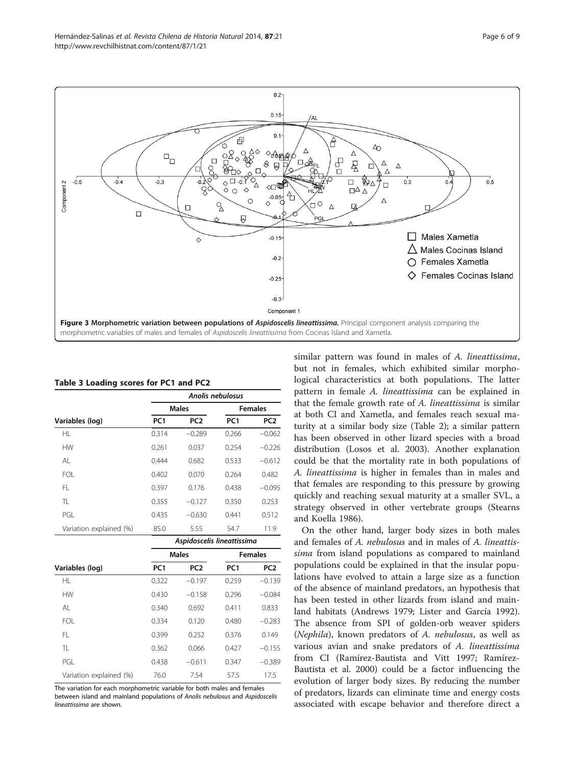<span id="page-5-0"></span>

#### Table 3 Loading scores for PC1 and PC2

|                         | Anolis nebulosus |                 |                 |                 |  |  |
|-------------------------|------------------|-----------------|-----------------|-----------------|--|--|
|                         |                  | <b>Males</b>    | <b>Females</b>  |                 |  |  |
| Variables (log)         | PC <sub>1</sub>  | PC <sub>2</sub> | PC <sub>1</sub> | PC <sub>2</sub> |  |  |
| НL                      | 0.314            | $-0.289$        | 0.266           | $-0.062$        |  |  |
| <b>HW</b>               | 0.261            | 0.037           | 0.254           | $-0.226$        |  |  |
| AL                      | 0.444            | 0.682           | 0.533           | $-0.612$        |  |  |
| FOL.                    | 0.402            | 0.070           | 0.264           | 0.482           |  |  |
| FL.                     | 0.397            | 0.176           | 0.438           | $-0.095$        |  |  |
| TI.                     | 0.355            | $-0.127$        | 0.350           | 0.253           |  |  |
| PGL                     | 0.435            | $-0.630$        | 0.441           | 0.512           |  |  |
| Variation explained (%) | 85.0             | 5.55            | 54.7            | 11.9            |  |  |

|                         |                 | Aspidoscelis lineattissima |                 |                 |  |
|-------------------------|-----------------|----------------------------|-----------------|-----------------|--|
|                         |                 | <b>Males</b>               | <b>Females</b>  |                 |  |
| Variables (log)         | PC <sub>1</sub> | PC <sub>2</sub>            | PC <sub>1</sub> | PC <sub>2</sub> |  |
| ΗL                      | 0.322           | $-0.197$                   | 0.259           | $-0.139$        |  |
| <b>HW</b>               | 0.430           | $-0.158$                   | 0.296           | $-0.084$        |  |
| AI                      | 0.340           | 0.692                      | 0.411           | 0.833           |  |
| <b>FOI</b>              | 0.334           | 0.120                      | 0.480           | $-0.283$        |  |
| FL.                     | 0.399           | 0.252                      | 0.376           | 0.149           |  |
| TL                      | 0.362           | 0.066                      | 0.427           | $-0.155$        |  |
| PGI                     | 0.438           | $-0.611$                   | 0.347           | $-0.389$        |  |
| Variation explained (%) | 76.0            | 7.54                       | 57.5            | 17.5            |  |

The variation for each morphometric variable for both males and females between island and mainland populations of Anolis nebulosus and Aspidoscelis lineattissima are shown.

similar pattern was found in males of A. lineattissima, but not in females, which exhibited similar morphological characteristics at both populations. The latter pattern in female A. lineattissima can be explained in that the female growth rate of A. lineattissima is similar at both CI and Xametla, and females reach sexual maturity at a similar body size (Table [2\)](#page-4-0); a similar pattern has been observed in other lizard species with a broad distribution (Losos et al. [2003\)](#page-8-0). Another explanation could be that the mortality rate in both populations of A. lineattissima is higher in females than in males and that females are responding to this pressure by growing quickly and reaching sexual maturity at a smaller SVL, a strategy observed in other vertebrate groups (Stearns and Koella [1986\)](#page-8-0).

On the other hand, larger body sizes in both males and females of A. nebulosus and in males of A. lineattissima from island populations as compared to mainland populations could be explained in that the insular populations have evolved to attain a large size as a function of the absence of mainland predators, an hypothesis that has been tested in other lizards from island and mainland habitats (Andrews [1979;](#page-8-0) Lister and García [1992](#page-8-0)). The absence from SPI of golden-orb weaver spiders (Nephila), known predators of A. nebulosus, as well as various avian and snake predators of A. lineattissima from CI (Ramírez-Bautista and Vitt [1997](#page-8-0); Ramírez-Bautista et al. [2000](#page-8-0)) could be a factor influencing the evolution of larger body sizes. By reducing the number of predators, lizards can eliminate time and energy costs associated with escape behavior and therefore direct a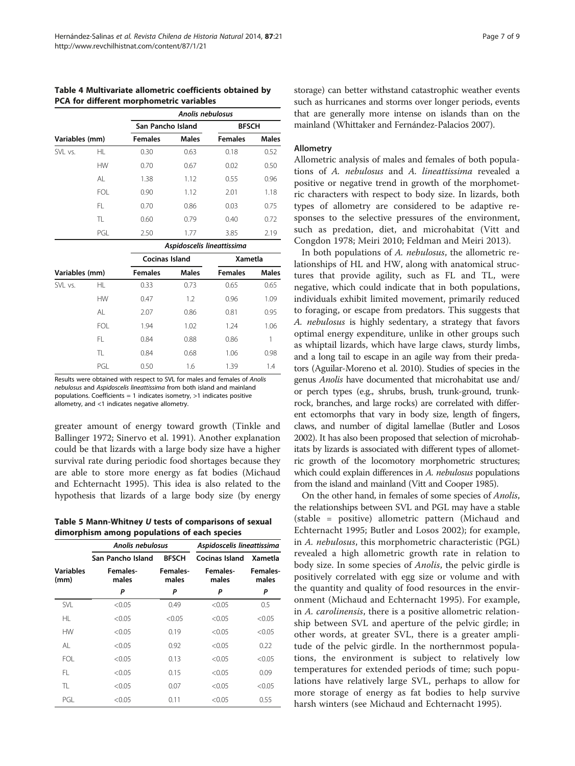<span id="page-6-0"></span>Table 4 Multivariate allometric coefficients obtained by PCA for different morphometric variables

|                |            |                | Anolis nebulosus  |                            |              |  |  |  |
|----------------|------------|----------------|-------------------|----------------------------|--------------|--|--|--|
|                |            |                | San Pancho Island |                            | <b>BFSCH</b> |  |  |  |
| Variables (mm) |            | <b>Females</b> | <b>Males</b>      | <b>Females</b>             | <b>Males</b> |  |  |  |
| SVI vs.        | НL         | 0.30           | 0.63              | 0.18                       | 0.52         |  |  |  |
|                | <b>HW</b>  | 0.70           | 0.67              | 0.02                       | 0.50         |  |  |  |
|                | AL         | 1.38           | 1.12              | 0.55                       | 0.96         |  |  |  |
|                | <b>FOL</b> | 0.90           | 1.12              | 2.01                       | 1.18         |  |  |  |
|                | FL         | 0.70           | 0.86              | 0.03                       | 0.75         |  |  |  |
|                | TL.        | 0.60           | 0.79              | 0.40                       | 0.72         |  |  |  |
|                | PGL        | 2.50           | 1.77              | 3.85                       | 2.19         |  |  |  |
|                |            |                |                   | Aspidoscelis lineattissima |              |  |  |  |
|                |            | Cocinas Island |                   |                            | Xametla      |  |  |  |
| Variables (mm) |            | <b>Females</b> | <b>Males</b>      | <b>Females</b>             | <b>Males</b> |  |  |  |
| SVI vs.        | HI.        | 0.33           | 0.73              | 0.65                       | 0.65         |  |  |  |
|                | <b>HW</b>  | 0.47           | 1.2               | 0.96                       | 1.09         |  |  |  |
|                | AL         | 2.07           | 0.86              | 0.81                       | 0.95         |  |  |  |
|                | FOL.       | 1.94           | 1.02              | 1.24                       | 1.06         |  |  |  |
|                |            |                |                   |                            |              |  |  |  |

PGL 0.50 1.6 1.39 1.4 Results were obtained with respect to SVL for males and females of Anolis nebulosus and Aspidoscelis lineattissima from both island and mainland populations. Coefficients = 1 indicates isometry, >1 indicates positive allometry, and <1 indicates negative allometry.

FL 0.84 0.88 0.86 1 TL 0.84 0.68 1.06 0.98

greater amount of energy toward growth (Tinkle and Ballinger [1972;](#page-8-0) Sinervo et al. [1991\)](#page-8-0). Another explanation could be that lizards with a large body size have a higher survival rate during periodic food shortages because they are able to store more energy as fat bodies (Michaud and Echternacht [1995](#page-8-0)). This idea is also related to the hypothesis that lizards of a large body size (by energy

Table 5 Mann-Whitney U tests of comparisons of sexual dimorphism among populations of each species

|                          | Anolis nebulosus  |                   | Aspidoscelis lineattissima |                          |  |
|--------------------------|-------------------|-------------------|----------------------------|--------------------------|--|
|                          | San Pancho Island | <b>BFSCH</b>      | Cocinas Island             | Xametla                  |  |
| <b>Variables</b><br>(mm) | Females-<br>males | Females-<br>males | <b>Females-</b><br>males   | <b>Females-</b><br>males |  |
|                          | P                 | P                 | Ρ                          | P                        |  |
| <b>SVI</b>               | < 0.05            | 0.49              | < 0.05                     | 0.5                      |  |
| HI.                      | < 0.05            | < 0.05            | < 0.05                     | < 0.05                   |  |
| <b>HW</b>                | < 0.05            | 0.19              | < 0.05                     | < 0.05                   |  |
| AL                       | < 0.05            | 0.92              | < 0.05                     | 0.22                     |  |
| FOL.                     | < 0.05            | 0.13              | < 0.05                     | < 0.05                   |  |
| FL.                      | < 0.05            | 0.15              | < 0.05                     | 0.09                     |  |
| TI.                      | < 0.05            | 0.07              | < 0.05                     | < 0.05                   |  |
| PGL                      | < 0.05            | 0.11              | < 0.05                     | 0.55                     |  |

storage) can better withstand catastrophic weather events such as hurricanes and storms over longer periods, events that are generally more intense on islands than on the mainland (Whittaker and Fernández-Palacios [2007\)](#page-8-0).

# Allometry

Allometric analysis of males and females of both populations of A. nebulosus and A. lineattissima revealed a positive or negative trend in growth of the morphometric characters with respect to body size. In lizards, both types of allometry are considered to be adaptive responses to the selective pressures of the environment, such as predation, diet, and microhabitat (Vitt and Congdon [1978;](#page-8-0) Meiri [2010](#page-8-0); Feldman and Meiri [2013](#page-8-0)).

In both populations of A. nebulosus, the allometric relationships of HL and HW, along with anatomical structures that provide agility, such as FL and TL, were negative, which could indicate that in both populations, individuals exhibit limited movement, primarily reduced to foraging, or escape from predators. This suggests that A. nebulosus is highly sedentary, a strategy that favors optimal energy expenditure, unlike in other groups such as whiptail lizards, which have large claws, sturdy limbs, and a long tail to escape in an agile way from their predators (Aguilar-Moreno et al. [2010](#page-8-0)). Studies of species in the genus Anolis have documented that microhabitat use and/ or perch types (e.g., shrubs, brush, trunk-ground, trunkrock, branches, and large rocks) are correlated with different ectomorphs that vary in body size, length of fingers, claws, and number of digital lamellae (Butler and Losos [2002\)](#page-8-0). It has also been proposed that selection of microhabitats by lizards is associated with different types of allometric growth of the locomotory morphometric structures; which could explain differences in A. nebulosus populations from the island and mainland (Vitt and Cooper [1985\)](#page-8-0).

On the other hand, in females of some species of Anolis, the relationships between SVL and PGL may have a stable (stable = positive) allometric pattern (Michaud and Echternacht [1995](#page-8-0); Butler and Losos [2002\)](#page-8-0); for example, in A. nebulosus, this morphometric characteristic (PGL) revealed a high allometric growth rate in relation to body size. In some species of *Anolis*, the pelvic girdle is positively correlated with egg size or volume and with the quantity and quality of food resources in the environment (Michaud and Echternacht [1995\)](#page-8-0). For example, in A. carolinensis, there is a positive allometric relationship between SVL and aperture of the pelvic girdle; in other words, at greater SVL, there is a greater amplitude of the pelvic girdle. In the northernmost populations, the environment is subject to relatively low temperatures for extended periods of time; such populations have relatively large SVL, perhaps to allow for more storage of energy as fat bodies to help survive harsh winters (see Michaud and Echternacht [1995](#page-8-0)).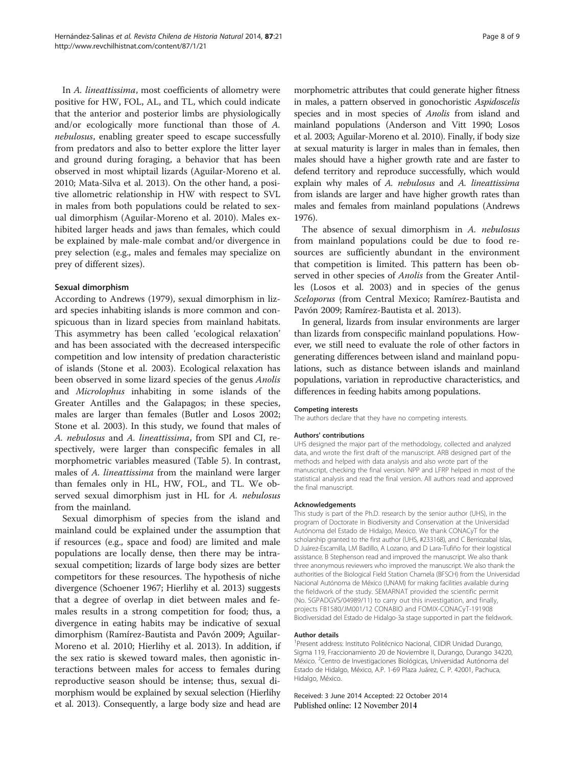In A. lineattissima, most coefficients of allometry were positive for HW, FOL, AL, and TL, which could indicate that the anterior and posterior limbs are physiologically and/or ecologically more functional than those of A. nebulosus, enabling greater speed to escape successfully from predators and also to better explore the litter layer and ground during foraging, a behavior that has been observed in most whiptail lizards (Aguilar-Moreno et al. [2010](#page-8-0); Mata-Silva et al. [2013](#page-8-0)). On the other hand, a positive allometric relationship in HW with respect to SVL in males from both populations could be related to sexual dimorphism (Aguilar-Moreno et al. [2010](#page-8-0)). Males exhibited larger heads and jaws than females, which could be explained by male-male combat and/or divergence in prey selection (e.g., males and females may specialize on prey of different sizes).

# Sexual dimorphism

According to Andrews ([1979](#page-8-0)), sexual dimorphism in lizard species inhabiting islands is more common and conspicuous than in lizard species from mainland habitats. This asymmetry has been called 'ecological relaxation' and has been associated with the decreased interspecific competition and low intensity of predation characteristic of islands (Stone et al. [2003\)](#page-8-0). Ecological relaxation has been observed in some lizard species of the genus Anolis and Microlophus inhabiting in some islands of the Greater Antilles and the Galapagos; in these species, males are larger than females (Butler and Losos [2002](#page-8-0); Stone et al. [2003\)](#page-8-0). In this study, we found that males of A. nebulosus and A. lineattissima, from SPI and CI, respectively, were larger than conspecific females in all morphometric variables measured (Table [5](#page-6-0)). In contrast, males of A. lineattissima from the mainland were larger than females only in HL, HW, FOL, and TL. We observed sexual dimorphism just in HL for A. nebulosus from the mainland.

Sexual dimorphism of species from the island and mainland could be explained under the assumption that if resources (e.g., space and food) are limited and male populations are locally dense, then there may be intrasexual competition; lizards of large body sizes are better competitors for these resources. The hypothesis of niche divergence (Schoener [1967](#page-8-0); Hierlihy et al. [2013\)](#page-8-0) suggests that a degree of overlap in diet between males and females results in a strong competition for food; thus, a divergence in eating habits may be indicative of sexual dimorphism (Ramírez-Bautista and Pavón [2009;](#page-8-0) Aguilar-Moreno et al. [2010](#page-8-0); Hierlihy et al. [2013\)](#page-8-0). In addition, if the sex ratio is skewed toward males, then agonistic interactions between males for access to females during reproductive season should be intense; thus, sexual dimorphism would be explained by sexual selection (Hierlihy et al. [2013\)](#page-8-0). Consequently, a large body size and head are

morphometric attributes that could generate higher fitness in males, a pattern observed in gonochoristic Aspidoscelis species and in most species of Anolis from island and mainland populations (Anderson and Vitt [1990;](#page-8-0) Losos et al. [2003;](#page-8-0) Aguilar-Moreno et al. [2010](#page-8-0)). Finally, if body size at sexual maturity is larger in males than in females, then males should have a higher growth rate and are faster to defend territory and reproduce successfully, which would explain why males of A. nebulosus and A. lineattissima from islands are larger and have higher growth rates than males and females from mainland populations (Andrews [1976\)](#page-8-0).

The absence of sexual dimorphism in A. nebulosus from mainland populations could be due to food resources are sufficiently abundant in the environment that competition is limited. This pattern has been observed in other species of Anolis from the Greater Antilles (Losos et al. [2003\)](#page-8-0) and in species of the genus Sceloporus (from Central Mexico; Ramírez-Bautista and Pavón [2009](#page-8-0); Ramírez-Bautista et al. [2013](#page-8-0)).

In general, lizards from insular environments are larger than lizards from conspecific mainland populations. However, we still need to evaluate the role of other factors in generating differences between island and mainland populations, such as distance between islands and mainland populations, variation in reproductive characteristics, and differences in feeding habits among populations.

#### Competing interests

The authors declare that they have no competing interests.

#### Authors' contributions

UHS designed the major part of the methodology, collected and analyzed data, and wrote the first draft of the manuscript. ARB designed part of the methods and helped with data analysis and also wrote part of the manuscript, checking the final version. NPP and LFRP helped in most of the statistical analysis and read the final version. All authors read and approved the final manuscript.

#### Acknowledgements

This study is part of the Ph.D. research by the senior author (UHS), in the program of Doctorate in Biodiversity and Conservation at the Universidad Autónoma del Estado de Hidalgo, Mexico. We thank CONACyT for the scholarship granted to the first author (UHS, #233168), and C Berriozabal Islas, D Juárez-Escamilla, LM Badillo, A Lozano, and D Lara-Tufiño for their logistical assistance. B Stephenson read and improved the manuscript. We also thank three anonymous reviewers who improved the manuscript. We also thank the authorities of the Biological Field Station Chamela (BFSCH) from the Universidad Nacional Autónoma de México (UNAM) for making facilities available during the fieldwork of the study. SEMARNAT provided the scientific permit (No. SGPADGVS/04989/11) to carry out this investigation, and finally, projects FB1580/JM001/12 CONABIO and FOMIX-CONACyT-191908 Biodiversidad del Estado de Hidalgo-3a stage supported in part the fieldwork.

#### Author details

<sup>1</sup> Present address: Instituto Politécnico Nacional, CIIDIR Unidad Durango, Sigma 119, Fraccionamiento 20 de Noviembre II, Durango, Durango 34220, México. <sup>2</sup>Centro de Investigaciones Biológicas, Universidad Autónoma del Estado de Hidalgo, México, A.P. 1-69 Plaza Juárez, C. P. 42001, Pachuca, Hidalgo, México.

Received: 3 June 2014 Accepted: 22 October 2014 Published online: 12 November 2014